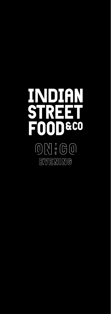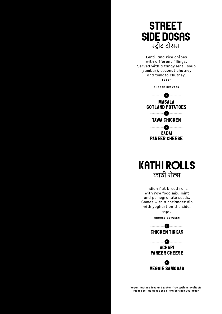

Lentil and rice crêpes with different fillings. Served with a tangy lentil soup (sambar), coconut chutney and tomato chutney. **125:-**

**Choose between**





Indian flat bread rolls with raw food mix, mint and pomegranate seeds. Comes with a coriander dip with yoghurt on the side.

> **119:- Choose between**





VEGGIE SAMOSAS

**Vegan, lactose free and gluten free options available. Please tell us about the allergies when you order.**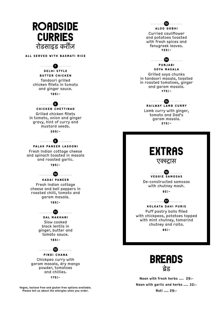

**Vegan, lactose free and gluten free options available. Please tell us about the allergies when you order.**

**Roti .... 29:-**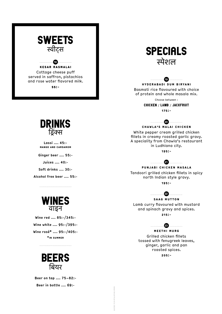





Basmati rice flavoured with choice of protein and whole masala mix.

Choose between :

CHICKEN / LAMB / JACKFRUIT



**Chawla's Malai Chicken 20**

White pepper cream grilled chicken fillets in creamy roasted garlic gravy. A speciality from Chawla's restaurant in Ludhiana city.

**195:-**



**Punjabi Chicken Masala**

Tandoori grilled chicken fillets in spicy north Indian style gravy.

**195:-**



Lamb curry flavoured with mustard and spinach gravy and spices. **215:-**



## **23**

**Meethi Murg** Grilled chicken fillets tossed with fenugreek leaves, ginger, garlic and pan roasted spices.

**205:-**

Indian Street Food & Co 202205



**Lassi .... 45: mango and cardamom**

**Ginger beer .... 55:-**

**Juices .... 40:-**

**Soft drinks .... 30:-**

**Alcohol free beer .... 55:-**



**Wine red .... 85:-/345:- Wine white .... 95:-/395:- Wine rosé\* .... 95:-/405:- \*in summer**



**Beer on tap .... 75–82:- Beer in bottle .... 69:-**